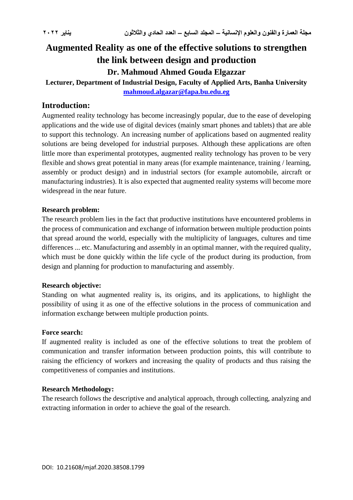# **Augmented Reality as one of the effective solutions to strengthen the link between design and production Dr. Mahmoud Ahmed Gouda Elgazzar**

**Lecturer, Department of Industrial Design, Faculty of Applied Arts, Banha University [mahmoud.algazar@fapa.bu.edu.eg](mailto:mahmoud.algazar@fapa.bu.edu.eg)**

### **Introduction:**

Augmented reality technology has become increasingly popular, due to the ease of developing applications and the wide use of digital devices (mainly smart phones and tablets) that are able to support this technology. An increasing number of applications based on augmented reality solutions are being developed for industrial purposes. Although these applications are often little more than experimental prototypes, augmented reality technology has proven to be very flexible and shows great potential in many areas (for example maintenance, training / learning, assembly or product design) and in industrial sectors (for example automobile, aircraft or manufacturing industries). It is also expected that augmented reality systems will become more widespread in the near future.

#### **Research problem:**

The research problem lies in the fact that productive institutions have encountered problems in the process of communication and exchange of information between multiple production points that spread around the world, especially with the multiplicity of languages, cultures and time differences ... etc. Manufacturing and assembly in an optimal manner, with the required quality, which must be done quickly within the life cycle of the product during its production, from design and planning for production to manufacturing and assembly.

#### **Research objective:**

Standing on what augmented reality is, its origins, and its applications, to highlight the possibility of using it as one of the effective solutions in the process of communication and information exchange between multiple production points.

#### **Force search:**

If augmented reality is included as one of the effective solutions to treat the problem of communication and transfer information between production points, this will contribute to raising the efficiency of workers and increasing the quality of products and thus raising the competitiveness of companies and institutions.

#### **Research Methodology:**

The research follows the descriptive and analytical approach, through collecting, analyzing and extracting information in order to achieve the goal of the research.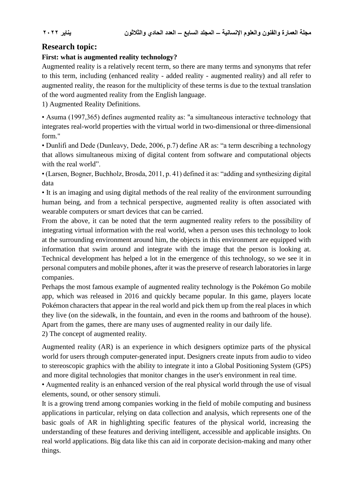# **Research topic:**

### **First: what is augmented reality technology?**

Augmented reality is a relatively recent term, so there are many terms and synonyms that refer to this term, including (enhanced reality - added reality - augmented reality) and all refer to augmented reality, the reason for the multiplicity of these terms is due to the textual translation of the word augmented reality from the English language.

1) Augmented Reality Definitions.

• Asuma (1997,365) defines augmented reality as: "a simultaneous interactive technology that integrates real-world properties with the virtual world in two-dimensional or three-dimensional form."

• Dunlifi and Dede (Dunleavy, Dede, 2006, p.7) define AR as: "a term describing a technology that allows simultaneous mixing of digital content from software and computational objects with the real world".

• (Larsen, Bogner, Buchholz, Brosda, 2011, p. 41) defined it as: "adding and synthesizing digital data

• It is an imaging and using digital methods of the real reality of the environment surrounding human being, and from a technical perspective, augmented reality is often associated with wearable computers or smart devices that can be carried.

From the above, it can be noted that the term augmented reality refers to the possibility of integrating virtual information with the real world, when a person uses this technology to look at the surrounding environment around him, the objects in this environment are equipped with information that swim around and integrate with the image that the person is looking at. Technical development has helped a lot in the emergence of this technology, so we see it in personal computers and mobile phones, after it was the preserve of research laboratories in large companies.

Perhaps the most famous example of augmented reality technology is the Pokémon Go mobile app, which was released in 2016 and quickly became popular. In this game, players locate Pokémon characters that appear in the real world and pick them up from the real places in which they live (on the sidewalk, in the fountain, and even in the rooms and bathroom of the house). Apart from the games, there are many uses of augmented reality in our daily life.

2) The concept of augmented reality.

Augmented reality (AR) is an experience in which designers optimize parts of the physical world for users through computer-generated input. Designers create inputs from audio to video to stereoscopic graphics with the ability to integrate it into a Global Positioning System (GPS) and more digital technologies that monitor changes in the user's environment in real time.

• Augmented reality is an enhanced version of the real physical world through the use of visual elements, sound, or other sensory stimuli.

It is a growing trend among companies working in the field of mobile computing and business applications in particular, relying on data collection and analysis, which represents one of the basic goals of AR in highlighting specific features of the physical world, increasing the understanding of these features and deriving intelligent, accessible and applicable insights. On real world applications. Big data like this can aid in corporate decision-making and many other things.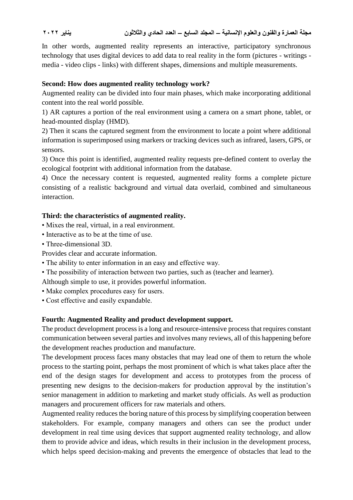In other words, augmented reality represents an interactive, participatory synchronous technology that uses digital devices to add data to real reality in the form (pictures - writings media - video clips - links) with different shapes, dimensions and multiple measurements.

### **Second: How does augmented reality technology work?**

Augmented reality can be divided into four main phases, which make incorporating additional content into the real world possible.

1) AR captures a portion of the real environment using a camera on a smart phone, tablet, or head-mounted display (HMD).

2) Then it scans the captured segment from the environment to locate a point where additional information is superimposed using markers or tracking devices such as infrared, lasers, GPS, or sensors.

3) Once this point is identified, augmented reality requests pre-defined content to overlay the ecological footprint with additional information from the database.

4) Once the necessary content is requested, augmented reality forms a complete picture consisting of a realistic background and virtual data overlaid, combined and simultaneous interaction.

### **Third: the characteristics of augmented reality.**

- Mixes the real, virtual, in a real environment.
- Interactive as to be at the time of use.
- Three-dimensional 3D.

Provides clear and accurate information.

- The ability to enter information in an easy and effective way.
- The possibility of interaction between two parties, such as (teacher and learner).

Although simple to use, it provides powerful information.

- Make complex procedures easy for users.
- Cost effective and easily expandable.

### **Fourth: Augmented Reality and product development support.**

The product development process is a long and resource-intensive process that requires constant communication between several parties and involves many reviews, all of this happening before the development reaches production and manufacture.

The development process faces many obstacles that may lead one of them to return the whole process to the starting point, perhaps the most prominent of which is what takes place after the end of the design stages for development and access to prototypes from the process of presenting new designs to the decision-makers for production approval by the institution's senior management in addition to marketing and market study officials. As well as production managers and procurement officers for raw materials and others.

Augmented reality reduces the boring nature of this process by simplifying cooperation between stakeholders. For example, company managers and others can see the product under development in real time using devices that support augmented reality technology, and allow them to provide advice and ideas, which results in their inclusion in the development process, which helps speed decision-making and prevents the emergence of obstacles that lead to the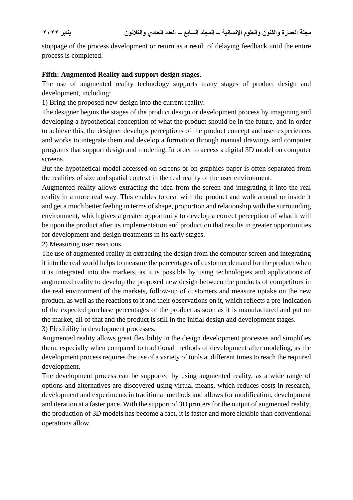stoppage of the process development or return as a result of delaying feedback until the entire process is completed.

### **Fifth: Augmented Reality and support design stages.**

The use of augmented reality technology supports many stages of product design and development, including:

1) Bring the proposed new design into the current reality.

The designer begins the stages of the product design or development process by imagining and developing a hypothetical conception of what the product should be in the future, and in order to achieve this, the designer develops perceptions of the product concept and user experiences and works to integrate them and develop a formation through manual drawings and computer programs that support design and modeling. In order to access a digital 3D model on computer screens.

But the hypothetical model accessed on screens or on graphics paper is often separated from the realities of size and spatial context in the real reality of the user environment.

Augmented reality allows extracting the idea from the screen and integrating it into the real reality in a more real way. This enables to deal with the product and walk around or inside it and get a much better feeling in terms of shape, proportion and relationship with the surrounding environment, which gives a greater opportunity to develop a correct perception of what it will be upon the product after its implementation and production that results in greater opportunities for development and design treatments in its early stages.

2) Measuring user reactions.

The use of augmented reality in extracting the design from the computer screen and integrating it into the real world helps to measure the percentages of customer demand for the product when it is integrated into the markets, as it is possible by using technologies and applications of augmented reality to develop the proposed new design between the products of competitors in the real environment of the markets, follow-up of customers and measure uptake on the new product, as well as the reactions to it and their observations on it, which reflects a pre-indication of the expected purchase percentages of the product as soon as it is manufactured and put on the market, all of that and the product is still in the initial design and development stages.

3) Flexibility in development processes.

Augmented reality allows great flexibility in the design development processes and simplifies them, especially when compared to traditional methods of development after modeling, as the development process requires the use of a variety of tools at different times to reach the required development.

The development process can be supported by using augmented reality, as a wide range of options and alternatives are discovered using virtual means, which reduces costs in research, development and experiments in traditional methods and allows for modification, development and iteration at a faster pace. With the support of 3D printers for the output of augmented reality, the production of 3D models has become a fact, it is faster and more flexible than conventional operations allow.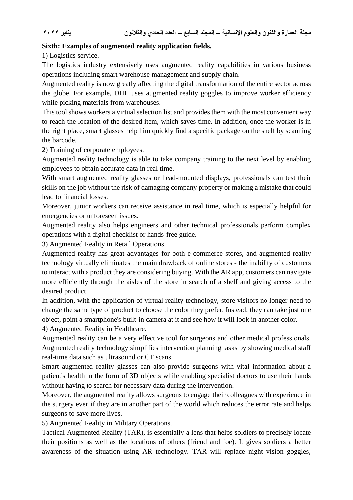#### **Sixth: Examples of augmented reality application fields.**

1) Logistics service.

The logistics industry extensively uses augmented reality capabilities in various business operations including smart warehouse management and supply chain.

Augmented reality is now greatly affecting the digital transformation of the entire sector across the globe. For example, DHL uses augmented reality goggles to improve worker efficiency while picking materials from warehouses.

This tool shows workers a virtual selection list and provides them with the most convenient way to reach the location of the desired item, which saves time. In addition, once the worker is in the right place, smart glasses help him quickly find a specific package on the shelf by scanning the barcode.

2) Training of corporate employees.

Augmented reality technology is able to take company training to the next level by enabling employees to obtain accurate data in real time.

With smart augmented reality glasses or head-mounted displays, professionals can test their skills on the job without the risk of damaging company property or making a mistake that could lead to financial losses.

Moreover, junior workers can receive assistance in real time, which is especially helpful for emergencies or unforeseen issues.

Augmented reality also helps engineers and other technical professionals perform complex operations with a digital checklist or hands-free guide.

3) Augmented Reality in Retail Operations.

Augmented reality has great advantages for both e-commerce stores, and augmented reality technology virtually eliminates the main drawback of online stores - the inability of customers to interact with a product they are considering buying. With the AR app, customers can navigate more efficiently through the aisles of the store in search of a shelf and giving access to the desired product.

In addition, with the application of virtual reality technology, store visitors no longer need to change the same type of product to choose the color they prefer. Instead, they can take just one object, point a smartphone's built-in camera at it and see how it will look in another color.

4) Augmented Reality in Healthcare.

Augmented reality can be a very effective tool for surgeons and other medical professionals. Augmented reality technology simplifies intervention planning tasks by showing medical staff real-time data such as ultrasound or CT scans.

Smart augmented reality glasses can also provide surgeons with vital information about a patient's health in the form of 3D objects while enabling specialist doctors to use their hands without having to search for necessary data during the intervention.

Moreover, the augmented reality allows surgeons to engage their colleagues with experience in the surgery even if they are in another part of the world which reduces the error rate and helps surgeons to save more lives.

5) Augmented Reality in Military Operations.

Tactical Augmented Reality (TAR), is essentially a lens that helps soldiers to precisely locate their positions as well as the locations of others (friend and foe). It gives soldiers a better awareness of the situation using AR technology. TAR will replace night vision goggles,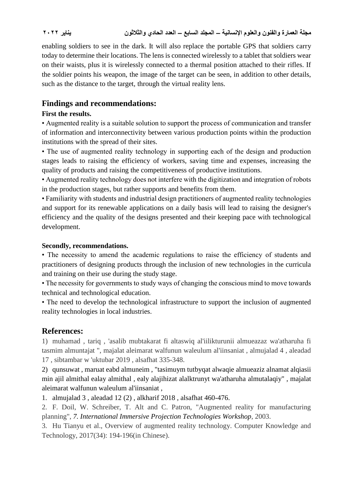enabling soldiers to see in the dark. It will also replace the portable GPS that soldiers carry today to determine their locations. The lens is connected wirelessly to a tablet that soldiers wear on their waists, plus it is wirelessly connected to a thermal position attached to their rifles. If the soldier points his weapon, the image of the target can be seen, in addition to other details, such as the distance to the target, through the virtual reality lens.

# **Findings and recommendations:**

## **First the results.**

• Augmented reality is a suitable solution to support the process of communication and transfer of information and interconnectivity between various production points within the production institutions with the spread of their sites.

• The use of augmented reality technology in supporting each of the design and production stages leads to raising the efficiency of workers, saving time and expenses, increasing the quality of products and raising the competitiveness of productive institutions.

• Augmented reality technology does not interfere with the digitization and integration of robots in the production stages, but rather supports and benefits from them.

• Familiarity with students and industrial design practitioners of augmented reality technologies and support for its renewable applications on a daily basis will lead to raising the designer's efficiency and the quality of the designs presented and their keeping pace with technological development.

### **Secondly, recommendations.**

• The necessity to amend the academic regulations to raise the efficiency of students and practitioners of designing products through the inclusion of new technologies in the curricula and training on their use during the study stage.

• The necessity for governments to study ways of changing the conscious mind to move towards technical and technological education.

• The need to develop the technological infrastructure to support the inclusion of augmented reality technologies in local industries.

# **References:**

1) muhamad , tariq , 'asalib mubtakarat fi altaswiq al'iilikturunii almueazaz wa'atharuha fi tasmim almuntajat ", majalat aleimarat walfunun waleulum al'iinsaniat , almujalad 4 , aleadad 17 , sibtambar w 'uktubar 2019 , alsafhat 335-348.

2) qunsuwat , maruat eabd almuneim , "tasimuym tutbyqat alwaqie almueaziz alnamat alqiasii min ajil almithal ealay almithal , ealy alajihizat alalktrunyt wa'atharuha almutalaqiy" , majalat aleimarat walfunun waleulum al'iinsaniat ,

1. almujalad 3 , aleadad 12 (2) , alkharif 2018 , alsafhat 460-476.

2. F. Doil, W. Schreiber, T. Alt and C. Patron, "Augmented reality for manufacturing planning", *7. International Immersive Projection Technologies Workshop*, 2003.

3. Hu Tianyu et al., Overview of augmented reality technology. Computer Knowledge and Technology, 2017(34): 194-196(in Chinese).